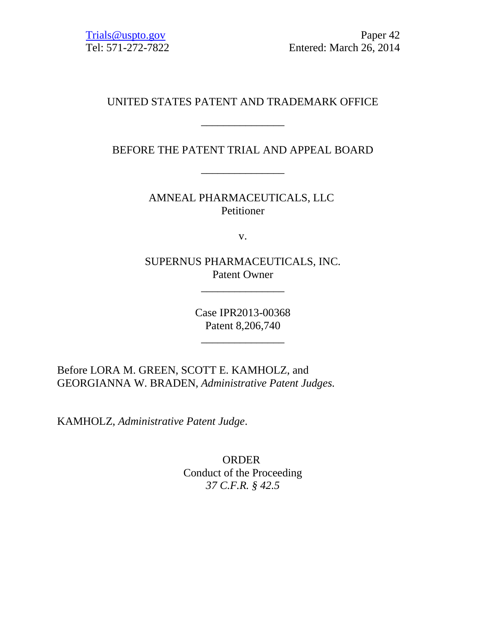# UNITED STATES PATENT AND TRADEMARK OFFICE

\_\_\_\_\_\_\_\_\_\_\_\_\_\_\_

BEFORE THE PATENT TRIAL AND APPEAL BOARD

\_\_\_\_\_\_\_\_\_\_\_\_\_\_\_

AMNEAL PHARMACEUTICALS, LLC Petitioner

v.

SUPERNUS PHARMACEUTICALS, INC. Patent Owner

\_\_\_\_\_\_\_\_\_\_\_\_\_\_\_

Case IPR2013-00368 Patent 8,206,740

\_\_\_\_\_\_\_\_\_\_\_\_\_\_\_

Before LORA M. GREEN, SCOTT E. KAMHOLZ, and GEORGIANNA W. BRADEN, *Administrative Patent Judges.*

KAMHOLZ, *Administrative Patent Judge*.

**ORDER** Conduct of the Proceeding *37 C.F.R. § 42.5*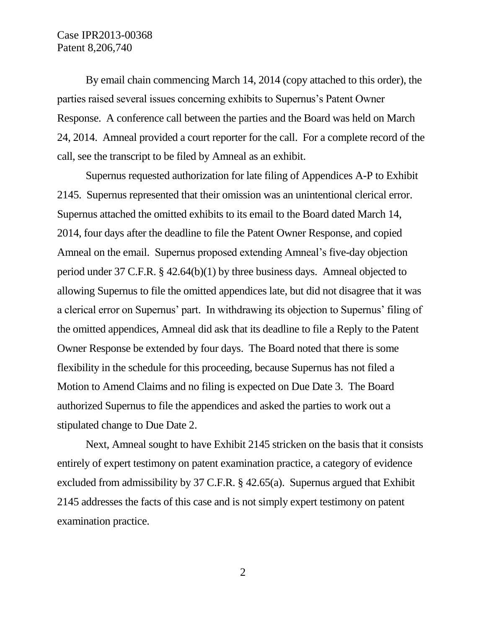By email chain commencing March 14, 2014 (copy attached to this order), the parties raised several issues concerning exhibits to Supernus's Patent Owner Response. A conference call between the parties and the Board was held on March 24, 2014. Amneal provided a court reporter for the call. For a complete record of the call, see the transcript to be filed by Amneal as an exhibit.

Supernus requested authorization for late filing of Appendices A-P to Exhibit 2145. Supernus represented that their omission was an unintentional clerical error. Supernus attached the omitted exhibits to its email to the Board dated March 14, 2014, four days after the deadline to file the Patent Owner Response, and copied Amneal on the email. Supernus proposed extending Amneal's five-day objection period under 37 C.F.R. § 42.64(b)(1) by three business days. Amneal objected to allowing Supernus to file the omitted appendices late, but did not disagree that it was a clerical error on Supernus' part. In withdrawing its objection to Supernus' filing of the omitted appendices, Amneal did ask that its deadline to file a Reply to the Patent Owner Response be extended by four days. The Board noted that there is some flexibility in the schedule for this proceeding, because Supernus has not filed a Motion to Amend Claims and no filing is expected on Due Date 3. The Board authorized Supernus to file the appendices and asked the parties to work out a stipulated change to Due Date 2.

Next, Amneal sought to have Exhibit 2145 stricken on the basis that it consists entirely of expert testimony on patent examination practice, a category of evidence excluded from admissibility by 37 C.F.R. § 42.65(a). Supernus argued that Exhibit 2145 addresses the facts of this case and is not simply expert testimony on patent examination practice.

2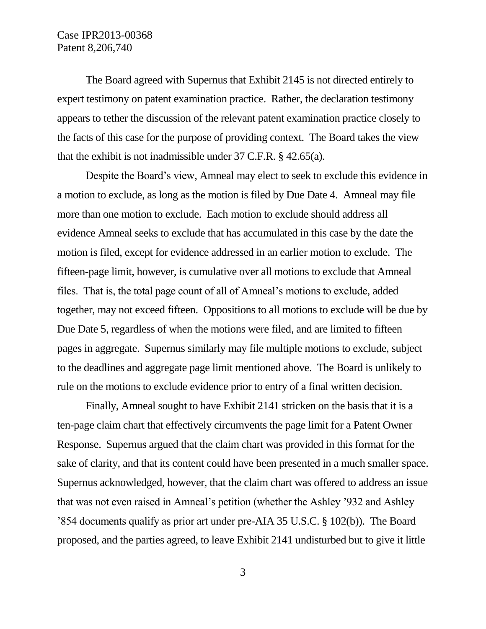The Board agreed with Supernus that Exhibit 2145 is not directed entirely to expert testimony on patent examination practice. Rather, the declaration testimony appears to tether the discussion of the relevant patent examination practice closely to the facts of this case for the purpose of providing context. The Board takes the view that the exhibit is not inadmissible under 37 C.F.R. § 42.65(a).

Despite the Board's view, Amneal may elect to seek to exclude this evidence in a motion to exclude, as long as the motion is filed by Due Date 4. Amneal may file more than one motion to exclude. Each motion to exclude should address all evidence Amneal seeks to exclude that has accumulated in this case by the date the motion is filed, except for evidence addressed in an earlier motion to exclude. The fifteen-page limit, however, is cumulative over all motions to exclude that Amneal files. That is, the total page count of all of Amneal's motions to exclude, added together, may not exceed fifteen. Oppositions to all motions to exclude will be due by Due Date 5, regardless of when the motions were filed, and are limited to fifteen pages in aggregate. Supernus similarly may file multiple motions to exclude, subject to the deadlines and aggregate page limit mentioned above. The Board is unlikely to rule on the motions to exclude evidence prior to entry of a final written decision.

Finally, Amneal sought to have Exhibit 2141 stricken on the basis that it is a ten-page claim chart that effectively circumvents the page limit for a Patent Owner Response. Supernus argued that the claim chart was provided in this format for the sake of clarity, and that its content could have been presented in a much smaller space. Supernus acknowledged, however, that the claim chart was offered to address an issue that was not even raised in Amneal's petition (whether the Ashley '932 and Ashley '854 documents qualify as prior art under pre-AIA 35 U.S.C. § 102(b)). The Board proposed, and the parties agreed, to leave Exhibit 2141 undisturbed but to give it little

3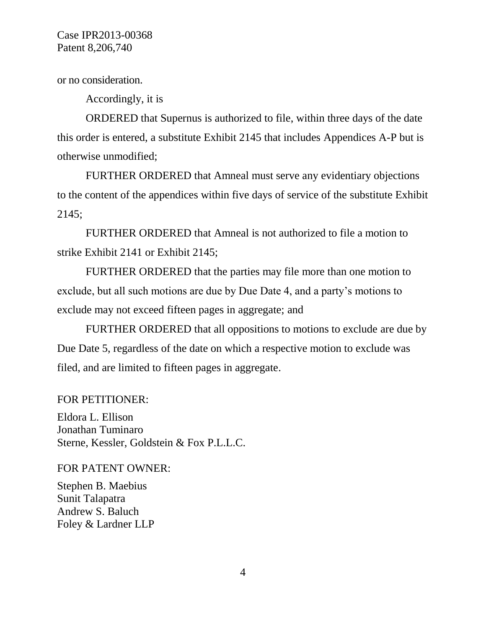or no consideration.

Accordingly, it is

ORDERED that Supernus is authorized to file, within three days of the date this order is entered, a substitute Exhibit 2145 that includes Appendices A-P but is otherwise unmodified;

FURTHER ORDERED that Amneal must serve any evidentiary objections to the content of the appendices within five days of service of the substitute Exhibit 2145;

FURTHER ORDERED that Amneal is not authorized to file a motion to strike Exhibit 2141 or Exhibit 2145;

FURTHER ORDERED that the parties may file more than one motion to exclude, but all such motions are due by Due Date 4, and a party's motions to exclude may not exceed fifteen pages in aggregate; and

FURTHER ORDERED that all oppositions to motions to exclude are due by Due Date 5, regardless of the date on which a respective motion to exclude was filed, and are limited to fifteen pages in aggregate.

#### FOR PETITIONER:

Eldora L. Ellison Jonathan Tuminaro Sterne, Kessler, Goldstein & Fox P.L.L.C.

FOR PATENT OWNER:

Stephen B. Maebius Sunit Talapatra Andrew S. Baluch Foley & Lardner LLP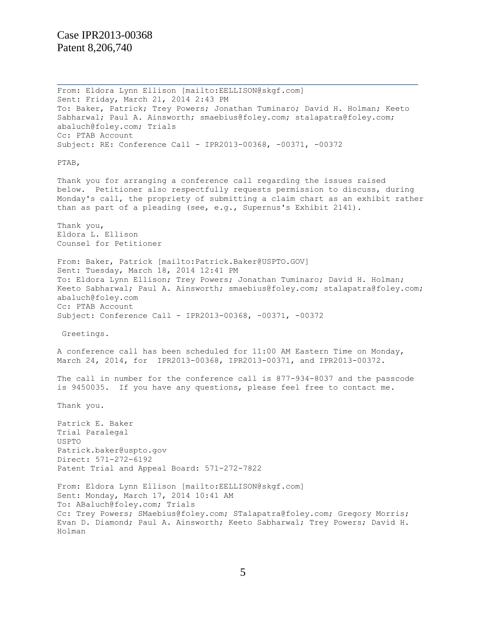From: Eldora Lynn Ellison [mailto:EELLISON@skgf.com] Sent: Friday, March 21, 2014 2:43 PM To: Baker, Patrick; Trey Powers; Jonathan Tuminaro; David H. Holman; Keeto Sabharwal; Paul A. Ainsworth; smaebius@foley.com; stalapatra@foley.com; abaluch@foley.com; Trials Cc: PTAB Account Subject: RE: Conference Call - IPR2013-00368, -00371, -00372 PTAB, Thank you for arranging a conference call regarding the issues raised below. Petitioner also respectfully requests permission to discuss, during Monday's call, the propriety of submitting a claim chart as an exhibit rather than as part of a pleading (see, e.g., Supernus's Exhibit 2141). Thank you, Eldora L. Ellison Counsel for Petitioner From: Baker, Patrick [mailto:Patrick.Baker@USPTO.GOV] Sent: Tuesday, March 18, 2014 12:41 PM To: Eldora Lynn Ellison; Trey Powers; Jonathan Tuminaro; David H. Holman; Keeto Sabharwal; Paul A. Ainsworth; smaebius@foley.com; stalapatra@foley.com; abaluch@foley.com Cc: PTAB Account Subject: Conference Call - IPR2013-00368, -00371, -00372 Greetings. A conference call has been scheduled for 11:00 AM Eastern Time on Monday, March 24, 2014, for IPR2013-00368, IPR2013-00371, and IPR2013-00372. The call in number for the conference call is 877-934-8037 and the passcode is 9450035. If you have any questions, please feel free to contact me. Thank you. Patrick E. Baker Trial Paralegal USPTO Patrick.baker@uspto.gov Direct: 571-272-6192 Patent Trial and Appeal Board: 571-272-7822 From: Eldora Lynn Ellison [mailto:EELLISON@skgf.com] Sent: Monday, March 17, 2014 10:41 AM To: ABaluch@foley.com; Trials Cc: Trey Powers; SMaebius@foley.com; STalapatra@foley.com; Gregory Morris; Evan D. Diamond; Paul A. Ainsworth; Keeto Sabharwal; Trey Powers; David H. Holman

 $\overline{a_1}$  ,  $\overline{a_2}$  ,  $\overline{a_3}$  ,  $\overline{a_4}$  ,  $\overline{a_5}$  ,  $\overline{a_6}$  ,  $\overline{a_7}$  ,  $\overline{a_8}$  ,  $\overline{a_9}$  ,  $\overline{a_9}$  ,  $\overline{a_9}$  ,  $\overline{a_9}$  ,  $\overline{a_9}$  ,  $\overline{a_9}$  ,  $\overline{a_9}$  ,  $\overline{a_9}$  ,  $\overline{a_9}$  ,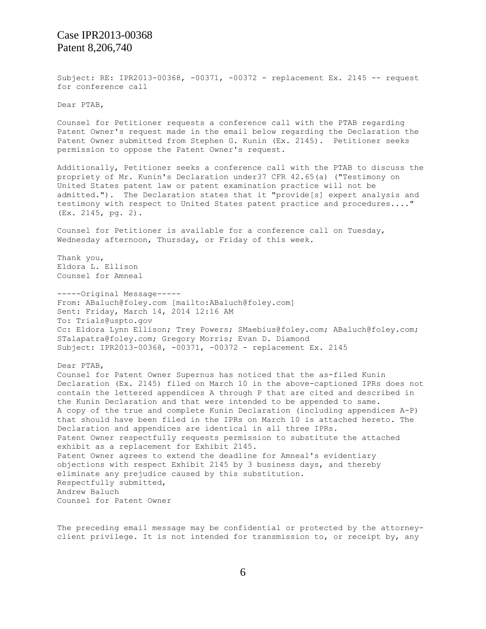Subject: RE: IPR2013-00368, -00371, -00372 - replacement Ex. 2145 -- request for conference call

Dear PTAB,

Counsel for Petitioner requests a conference call with the PTAB regarding Patent Owner's request made in the email below regarding the Declaration the Patent Owner submitted from Stephen G. Kunin (Ex. 2145). Petitioner seeks permission to oppose the Patent Owner's request.

Additionally, Petitioner seeks a conference call with the PTAB to discuss the propriety of Mr. Kunin's Declaration under37 CFR 42.65(a) ("Testimony on United States patent law or patent examination practice will not be admitted."). The Declaration states that it "provide[s] expert analysis and testimony with respect to United States patent practice and procedures...." (Ex. 2145, pg. 2).

Counsel for Petitioner is available for a conference call on Tuesday, Wednesday afternoon, Thursday, or Friday of this week.

Thank you, Eldora L. Ellison Counsel for Amneal

-----Original Message----- From: ABaluch@foley.com [mailto:ABaluch@foley.com] Sent: Friday, March 14, 2014 12:16 AM To: Trials@uspto.gov Cc: Eldora Lynn Ellison; Trey Powers; SMaebius@foley.com; ABaluch@foley.com; STalapatra@foley.com; Gregory Morris; Evan D. Diamond Subject: IPR2013-00368, -00371, -00372 - replacement Ex. 2145

Dear PTAB,

Counsel for Patent Owner Supernus has noticed that the as-filed Kunin Declaration (Ex. 2145) filed on March 10 in the above-captioned IPRs does not contain the lettered appendices A through P that are cited and described in the Kunin Declaration and that were intended to be appended to same. A copy of the true and complete Kunin Declaration (including appendices A-P) that should have been filed in the IPRs on March 10 is attached hereto. The Declaration and appendices are identical in all three IPRs. Patent Owner respectfully requests permission to substitute the attached exhibit as a replacement for Exhibit 2145. Patent Owner agrees to extend the deadline for Amneal's evidentiary objections with respect Exhibit 2145 by 3 business days, and thereby eliminate any prejudice caused by this substitution. Respectfully submitted, Andrew Baluch Counsel for Patent Owner

The preceding email message may be confidential or protected by the attorneyclient privilege. It is not intended for transmission to, or receipt by, any